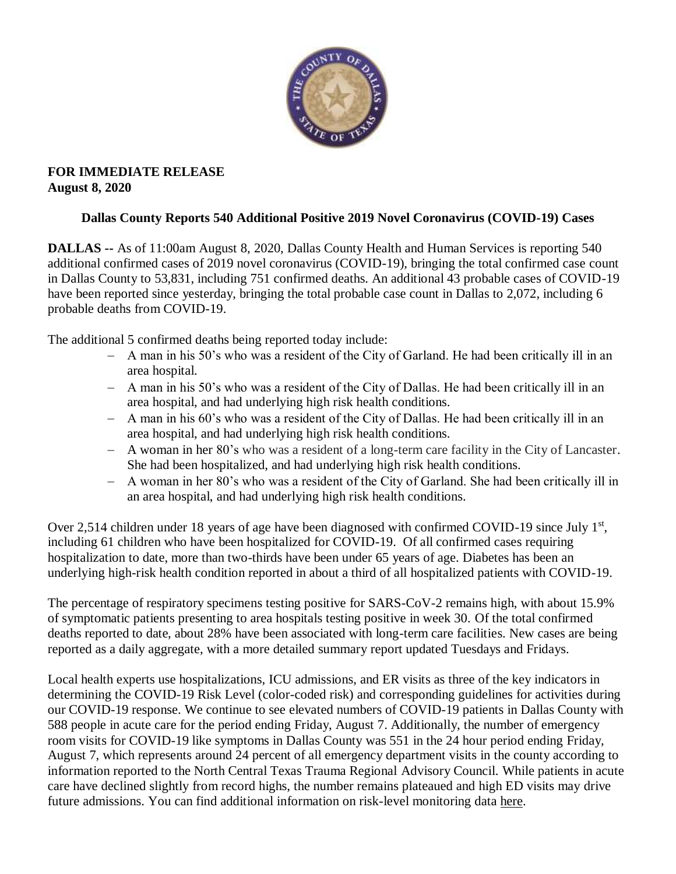

#### **FOR IMMEDIATE RELEASE August 8, 2020**

## **Dallas County Reports 540 Additional Positive 2019 Novel Coronavirus (COVID-19) Cases**

**DALLAS --** As of 11:00am August 8, 2020, Dallas County Health and Human Services is reporting 540 additional confirmed cases of 2019 novel coronavirus (COVID-19), bringing the total confirmed case count in Dallas County to 53,831, including 751 confirmed deaths. An additional 43 probable cases of COVID-19 have been reported since yesterday, bringing the total probable case count in Dallas to 2,072, including 6 probable deaths from COVID-19.

The additional 5 confirmed deaths being reported today include:

- A man in his 50's who was a resident of the City of Garland. He had been critically ill in an area hospital.
- A man in his 50's who was a resident of the City of Dallas. He had been critically ill in an area hospital, and had underlying high risk health conditions.
- A man in his 60's who was a resident of the City of Dallas. He had been critically ill in an area hospital, and had underlying high risk health conditions.
- A woman in her 80's who was a resident of a long-term care facility in the City of Lancaster. She had been hospitalized, and had underlying high risk health conditions.
- A woman in her 80's who was a resident of the City of Garland. She had been critically ill in an area hospital, and had underlying high risk health conditions.

Over 2,514 children under 18 years of age have been diagnosed with confirmed COVID-19 since July 1<sup>st</sup>, including 61 children who have been hospitalized for COVID-19. Of all confirmed cases requiring hospitalization to date, more than two-thirds have been under 65 years of age. Diabetes has been an underlying high-risk health condition reported in about a third of all hospitalized patients with COVID-19.

The percentage of respiratory specimens testing positive for SARS-CoV-2 remains high, with about 15.9% of symptomatic patients presenting to area hospitals testing positive in week 30. Of the total confirmed deaths reported to date, about 28% have been associated with long-term care facilities. New cases are being reported as a daily aggregate, with a more detailed summary report updated Tuesdays and Fridays.

Local health experts use hospitalizations, ICU admissions, and ER visits as three of the key indicators in determining the COVID-19 Risk Level (color-coded risk) and corresponding guidelines for activities during our COVID-19 response. We continue to see elevated numbers of COVID-19 patients in Dallas County with 588 people in acute care for the period ending Friday, August 7. Additionally, the number of emergency room visits for COVID-19 like symptoms in Dallas County was 551 in the 24 hour period ending Friday, August 7, which represents around 24 percent of all emergency department visits in the county according to information reported to the North Central Texas Trauma Regional Advisory Council. While patients in acute care have declined slightly from record highs, the number remains plateaued and high ED visits may drive future admissions. You can find additional information on risk-level monitoring data [here.](https://www.dallascounty.org/departments/dchhs/2019-novel-coronavirus.php)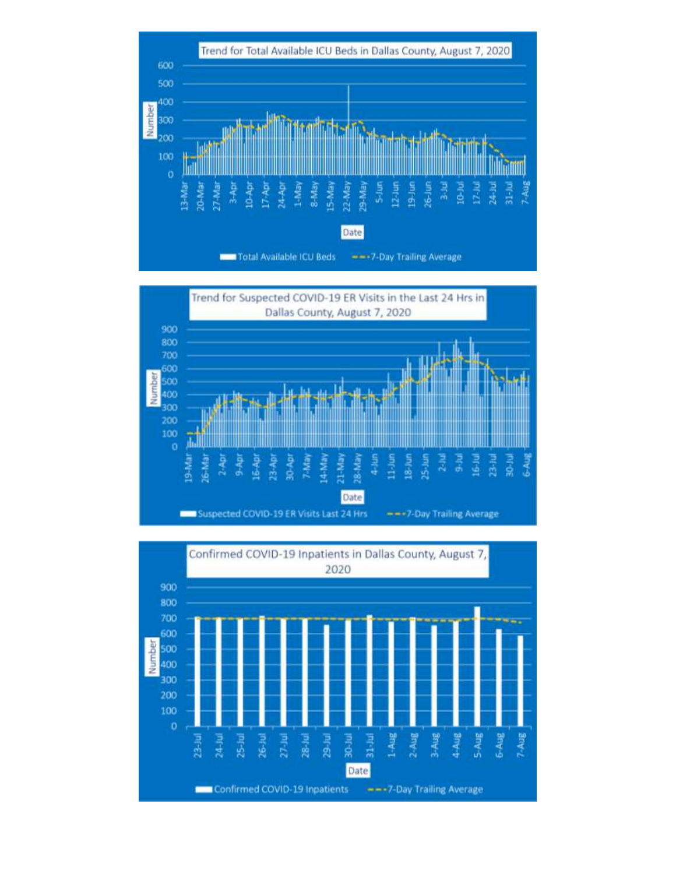



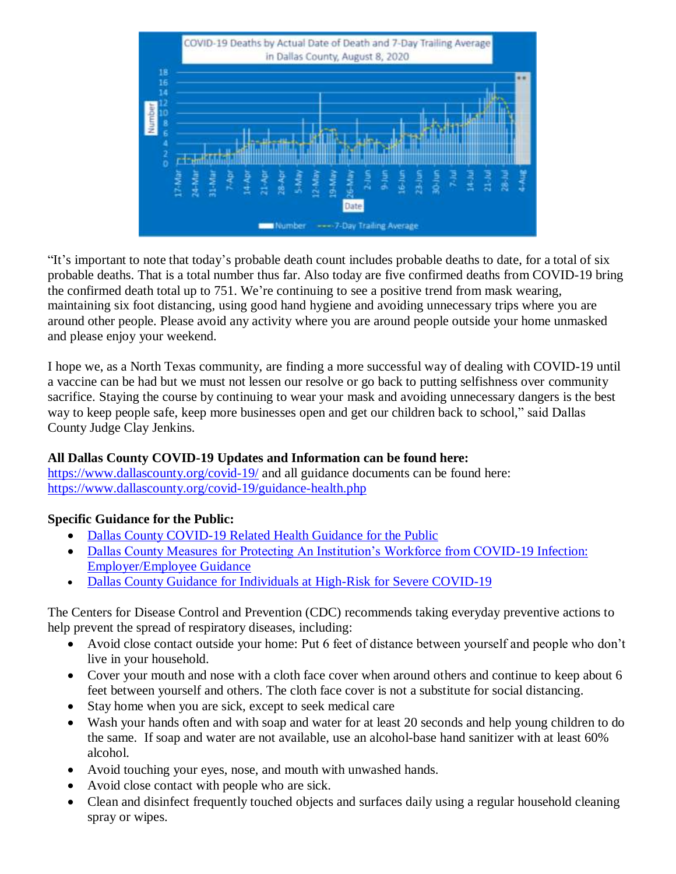

"It's important to note that today's probable death count includes probable deaths to date, for a total of six probable deaths. That is a total number thus far. Also today are five confirmed deaths from COVID-19 bring the confirmed death total up to 751. We're continuing to see a positive trend from mask wearing, maintaining six foot distancing, using good hand hygiene and avoiding unnecessary trips where you are around other people. Please avoid any activity where you are around people outside your home unmasked and please enjoy your weekend.

I hope we, as a North Texas community, are finding a more successful way of dealing with COVID-19 until a vaccine can be had but we must not lessen our resolve or go back to putting selfishness over community sacrifice. Staying the course by continuing to wear your mask and avoiding unnecessary dangers is the best way to keep people safe, keep more businesses open and get our children back to school," said Dallas County Judge Clay Jenkins.

## **All Dallas County COVID-19 Updates and Information can be found here:**

<https://www.dallascounty.org/covid-19/> and all guidance documents can be found here: <https://www.dallascounty.org/covid-19/guidance-health.php>

## **Specific Guidance for the Public:**

- [Dallas County COVID-19 Related Health Guidance for the Public](https://www.dallascounty.org/Assets/uploads/docs/covid-19/community/Dallas-CovidGeneralGuidelines-060620.pdf)
- [Dallas County Measures for Protecting An Institution's Workforce from COVID-19 Infection:](https://www.dallascounty.org/Assets/uploads/docs/covid-19/community/Dallas_Covid_Employer_Guidance_FINAL.pdf)  [Employer/Employee Guidance](https://www.dallascounty.org/Assets/uploads/docs/covid-19/community/Dallas_Covid_Employer_Guidance_FINAL.pdf)
- [Dallas County Guidance for Individuals at High-Risk for Severe COVID-19](https://www.dallascounty.org/Assets/uploads/docs/covid-19/community/Dallas_HighRiskGuidelines.pdf)

The Centers for Disease Control and Prevention (CDC) recommends taking everyday preventive actions to help prevent the spread of respiratory diseases, including:

- Avoid close contact outside your home: Put 6 feet of distance between yourself and people who don't live in your household.
- Cover your mouth and nose with a cloth face cover when around others and continue to keep about 6 feet between yourself and others. The cloth face cover is not a substitute for social distancing.
- Stay home when you are sick, except to seek medical care
- Wash your hands often and with soap and water for at least 20 seconds and help young children to do the same. If soap and water are not available, use an alcohol-base hand sanitizer with at least 60% alcohol.
- Avoid touching your eyes, nose, and mouth with unwashed hands.
- Avoid close contact with people who are sick.
- Clean and disinfect frequently touched objects and surfaces daily using a regular household cleaning spray or wipes.